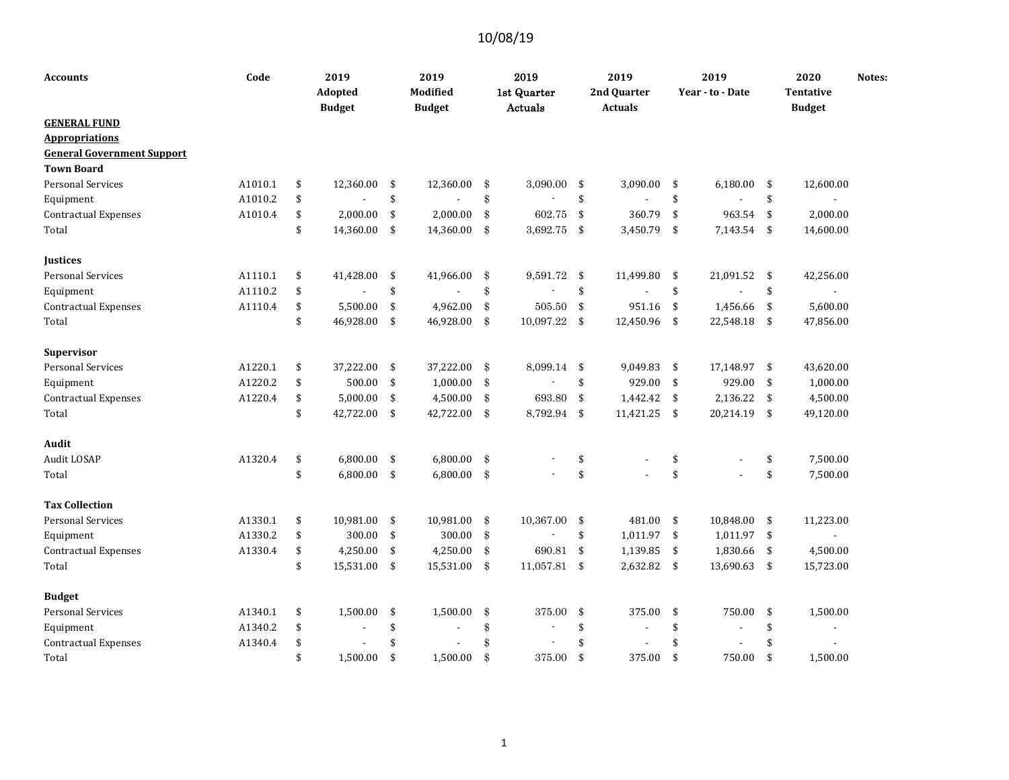| <b>Accounts</b>                   | Code    | 2019<br>Adopted<br><b>Budget</b> | 2019<br>Modified<br><b>Budget</b> |               | 2019<br>1st Quarter<br>Actuals |                         | 2019<br>2nd Quarter<br><b>Actuals</b> |                | 2019<br>Year - to - Date |     | 2020<br>Tentative<br><b>Budget</b> | Notes: |
|-----------------------------------|---------|----------------------------------|-----------------------------------|---------------|--------------------------------|-------------------------|---------------------------------------|----------------|--------------------------|-----|------------------------------------|--------|
| <b>GENERAL FUND</b>               |         |                                  |                                   |               |                                |                         |                                       |                |                          |     |                                    |        |
| <b>Appropriations</b>             |         |                                  |                                   |               |                                |                         |                                       |                |                          |     |                                    |        |
| <b>General Government Support</b> |         |                                  |                                   |               |                                |                         |                                       |                |                          |     |                                    |        |
| <b>Town Board</b>                 |         |                                  |                                   |               |                                |                         |                                       |                |                          |     |                                    |        |
| <b>Personal Services</b>          | A1010.1 | \$<br>12,360.00                  | \$<br>12,360.00                   | \$            | 3,090.00                       | \$                      | 3,090.00                              | \$             | 6,180.00                 | \$  | 12,600.00                          |        |
| Equipment                         | A1010.2 | \$                               | \$                                | \$            |                                | \$                      |                                       | \$             |                          | \$  |                                    |        |
| <b>Contractual Expenses</b>       | A1010.4 | \$<br>2,000.00                   | \$<br>2,000.00                    | \$            | 602.75                         | \$                      | 360.79                                | \$             | 963.54                   | \$  | 2,000.00                           |        |
| Total                             |         | \$<br>14,360.00                  | \$<br>14,360.00                   | \$            | 3,692.75                       | \$                      | 3,450.79                              | $\sqrt{5}$     | 7,143.54                 | \$  | 14,600.00                          |        |
| <b>Justices</b>                   |         |                                  |                                   |               |                                |                         |                                       |                |                          |     |                                    |        |
| <b>Personal Services</b>          | A1110.1 | \$<br>41,428.00                  | \$<br>41,966.00                   | \$            | 9,591.72                       | \$                      | 11,499.80                             | \$             | 21,091.52                | \$  | 42,256.00                          |        |
| Equipment                         | A1110.2 | \$                               | \$                                | \$            |                                | \$                      |                                       | \$             |                          | \$  | L,                                 |        |
| Contractual Expenses              | A1110.4 | \$<br>5,500.00                   | \$<br>4,962.00                    | \$            | 505.50                         | \$                      | 951.16                                | \$             | 1,456.66                 | \$  | 5,600.00                           |        |
| Total                             |         | \$<br>46,928.00                  | \$<br>46,928.00                   | \$            | 10,097.22                      | -\$                     | 12,450.96                             | \$             | 22,548.18                | \$  | 47,856.00                          |        |
| Supervisor                        |         |                                  |                                   |               |                                |                         |                                       |                |                          |     |                                    |        |
| <b>Personal Services</b>          | A1220.1 | \$<br>37,222.00                  | \$<br>37,222.00                   | $\mathbf{\$}$ | 8,099.14                       | -\$                     | 9,049.83                              | - \$           | 17,148.97 \$             |     | 43,620.00                          |        |
| Equipment                         | A1220.2 | \$<br>500.00                     | \$<br>1,000.00                    | \$            |                                | \$                      | 929.00                                | $\mathfrak{S}$ | 929.00                   | \$  | 1,000.00                           |        |
| <b>Contractual Expenses</b>       | A1220.4 | \$<br>5,000.00                   | \$<br>4,500.00                    | \$            | 693.80                         | \$                      | 1,442.42                              | \$             | 2,136.22                 | \$  | 4,500.00                           |        |
| Total                             |         | \$<br>42,722.00                  | \$<br>42,722.00                   | $\mathbf{\$}$ | 8,792.94                       | $\sqrt[6]{\frac{1}{2}}$ | 11,421.25                             | $\frac{1}{2}$  | 20,214.19                | \$  | 49,120.00                          |        |
| Audit                             |         |                                  |                                   |               |                                |                         |                                       |                |                          |     |                                    |        |
| Audit LOSAP                       | A1320.4 | \$<br>6,800.00                   | \$<br>6,800.00                    | \$            |                                | \$                      |                                       | \$             |                          | \$  | 7,500.00                           |        |
| Total                             |         | \$<br>6,800.00                   | \$<br>6,800.00                    | \$            |                                | \$                      |                                       | \$             |                          | \$  | 7,500.00                           |        |
| <b>Tax Collection</b>             |         |                                  |                                   |               |                                |                         |                                       |                |                          |     |                                    |        |
| <b>Personal Services</b>          | A1330.1 | \$<br>10,981.00                  | \$<br>10,981.00                   | $\mathbf{\$}$ | 10,367.00                      | \$                      | 481.00                                | -\$            | 10,848.00                | \$  | 11,223.00                          |        |
| Equipment                         | A1330.2 | \$<br>300.00                     | \$<br>300.00                      | \$            |                                | \$                      | 1,011.97                              | -\$            | 1,011.97                 | -\$ | L,                                 |        |
| <b>Contractual Expenses</b>       | A1330.4 | \$<br>4,250.00                   | \$<br>4,250.00                    | \$            | 690.81                         | \$                      | 1,139.85                              | $\sqrt{5}$     | 1,830.66                 | \$  | 4,500.00                           |        |
| Total                             |         | \$<br>15,531.00                  | \$<br>15,531.00                   | -\$           | 11,057.81                      | - \$                    | 2,632.82                              | \$             | 13,690.63                | -\$ | 15,723.00                          |        |
| <b>Budget</b>                     |         |                                  |                                   |               |                                |                         |                                       |                |                          |     |                                    |        |
| <b>Personal Services</b>          | A1340.1 | \$<br>1,500.00                   | \$<br>1,500.00                    | \$            | 375.00                         | \$                      | 375.00                                | \$             | 750.00                   | \$  | 1,500.00                           |        |
| Equipment                         | A1340.2 | \$                               | \$                                | \$            |                                | \$                      |                                       | \$             |                          | \$  | ٠                                  |        |
| <b>Contractual Expenses</b>       | A1340.4 | \$                               | \$                                | \$            |                                | \$                      |                                       | \$             |                          | \$  |                                    |        |
| Total                             |         | \$<br>1,500.00                   | \$<br>1,500.00                    | \$            | 375.00                         | \$                      | 375.00                                | \$             | 750.00                   | \$  | 1,500.00                           |        |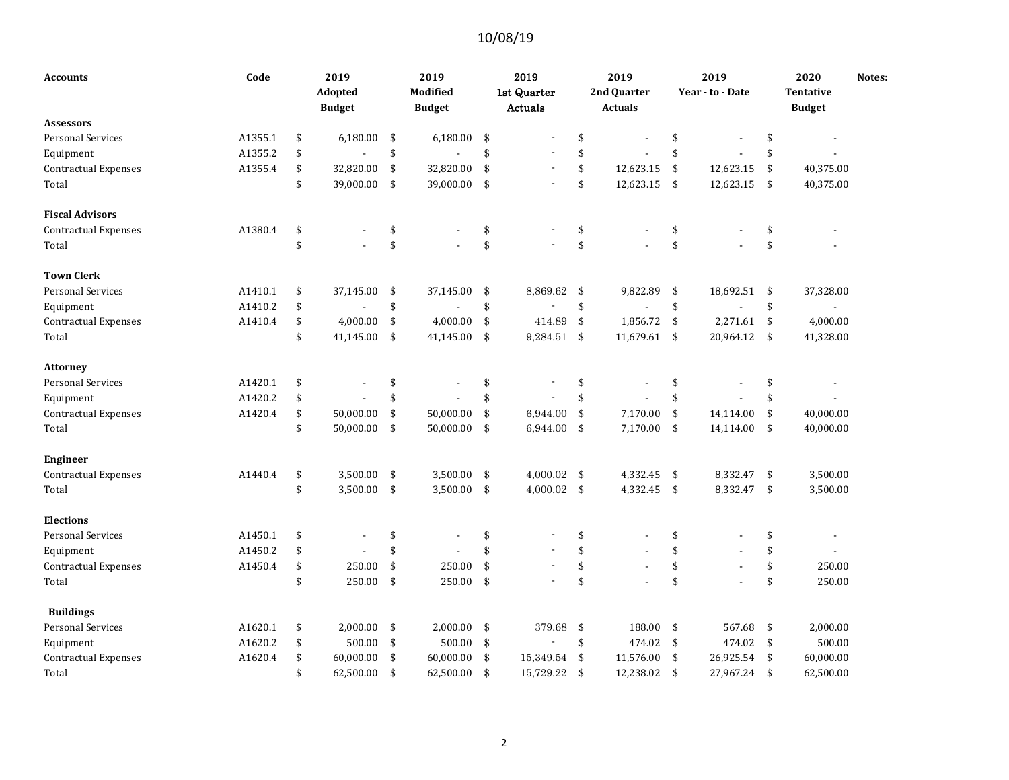| <b>Accounts</b>             | Code    | 2019<br>Adopted<br><b>Budget</b> |               | 2019<br>Modified<br><b>Budget</b> | 2019<br>1st Quarter<br>Actuals |                    | 2019<br>2nd Quarter<br><b>Actuals</b> |               | 2019<br>Year - to - Date |     | 2020<br><b>Tentative</b><br><b>Budget</b> | Notes: |
|-----------------------------|---------|----------------------------------|---------------|-----------------------------------|--------------------------------|--------------------|---------------------------------------|---------------|--------------------------|-----|-------------------------------------------|--------|
| <b>Assessors</b>            |         |                                  |               |                                   |                                |                    |                                       |               |                          |     |                                           |        |
| <b>Personal Services</b>    | A1355.1 | \$<br>6,180.00                   | \$            | 6,180.00                          | \$                             | \$                 |                                       | \$            |                          | \$  |                                           |        |
| Equipment                   | A1355.2 | \$                               | \$            |                                   | \$                             | \$                 |                                       | \$            |                          | \$  |                                           |        |
| Contractual Expenses        | A1355.4 | \$<br>32,820.00                  | \$            | 32,820.00                         | \$<br>$\overline{\phantom{a}}$ | \$                 | 12,623.15                             | \$            | 12,623.15                | \$  | 40,375.00                                 |        |
| Total                       |         | \$<br>39,000.00                  | \$            | 39,000.00                         | \$                             | \$                 | 12,623.15                             | $\frac{1}{2}$ | 12,623.15                | -\$ | 40,375.00                                 |        |
| <b>Fiscal Advisors</b>      |         |                                  |               |                                   |                                |                    |                                       |               |                          |     |                                           |        |
| <b>Contractual Expenses</b> | A1380.4 | \$                               | \$            |                                   | \$                             | \$                 |                                       | \$            |                          | \$  |                                           |        |
| Total                       |         | \$                               | \$            |                                   | \$                             | \$                 |                                       | \$            |                          | \$  |                                           |        |
| <b>Town Clerk</b>           |         |                                  |               |                                   |                                |                    |                                       |               |                          |     |                                           |        |
| <b>Personal Services</b>    | A1410.1 | \$<br>37,145.00                  | \$            | 37,145.00                         | \$<br>8,869.62                 | \$                 | 9,822.89                              | \$            | 18,692.51                | \$  | 37,328.00                                 |        |
| Equipment                   | A1410.2 | \$                               | \$            |                                   | \$                             | \$                 |                                       | \$            |                          | \$  | $\blacksquare$                            |        |
| Contractual Expenses        | A1410.4 | \$<br>4,000.00                   | \$            | 4,000.00                          | \$<br>414.89                   | \$                 | 1,856.72                              | $\sqrt{5}$    | 2,271.61                 | -\$ | 4,000.00                                  |        |
| Total                       |         | \$<br>41,145.00                  | \$            | 41,145.00                         | \$<br>9,284.51                 | \$                 | 11,679.61                             | $\sqrt{5}$    | 20,964.12                | \$  | 41,328.00                                 |        |
| <b>Attorney</b>             |         |                                  |               |                                   |                                |                    |                                       |               |                          |     |                                           |        |
| <b>Personal Services</b>    | A1420.1 | \$<br>٠                          | \$            |                                   | \$                             | \$                 |                                       | \$            |                          | \$  |                                           |        |
| Equipment                   | A1420.2 | \$                               | \$            |                                   | \$                             | \$                 |                                       | \$            |                          | \$  |                                           |        |
| Contractual Expenses        | A1420.4 | \$<br>50,000.00                  | \$            | 50,000.00                         | \$<br>6,944.00                 | \$                 | 7,170.00                              | \$            | 14,114.00                | \$  | 40,000.00                                 |        |
| Total                       |         | \$<br>50,000.00                  | \$            | 50,000.00                         | \$<br>6,944.00                 | \$                 | 7,170.00                              | $\sqrt{2}$    | 14,114.00                | \$  | 40,000.00                                 |        |
| <b>Engineer</b>             |         |                                  |               |                                   |                                |                    |                                       |               |                          |     |                                           |        |
| Contractual Expenses        | A1440.4 | \$<br>3,500.00                   | \$            | 3,500.00                          | \$<br>4,000.02                 | $\mathbf{\hat{S}}$ | 4,332.45                              | -\$           | 8,332.47                 | \$  | 3,500.00                                  |        |
| Total                       |         | \$<br>3,500.00                   | $\sqrt[6]{3}$ | 3,500.00                          | \$<br>4,000.02                 | $\sqrt{5}$         | 4,332.45                              | $\sqrt{5}$    | 8,332.47 \$              |     | 3,500.00                                  |        |
| <b>Elections</b>            |         |                                  |               |                                   |                                |                    |                                       |               |                          |     |                                           |        |
| Personal Services           | A1450.1 | \$                               | \$            |                                   | \$                             | \$                 |                                       | \$            |                          | \$  |                                           |        |
| Equipment                   | A1450.2 | \$                               | \$            |                                   | \$                             | \$                 |                                       | \$            |                          | \$  |                                           |        |
| <b>Contractual Expenses</b> | A1450.4 | \$<br>250.00                     | \$            | 250.00                            | \$                             | \$                 |                                       | \$            |                          | \$  | 250.00                                    |        |
| Total                       |         | \$<br>250.00                     | \$            | 250.00                            | \$<br>÷,                       | \$                 |                                       | \$            |                          | \$  | 250.00                                    |        |
| <b>Buildings</b>            |         |                                  |               |                                   |                                |                    |                                       |               |                          |     |                                           |        |
| <b>Personal Services</b>    | A1620.1 | \$<br>2,000.00                   | \$            | 2,000.00                          | \$<br>379.68                   | \$                 | 188.00                                | \$            | 567.68                   | \$  | 2,000.00                                  |        |
| Equipment                   | A1620.2 | \$<br>500.00                     | \$            | 500.00                            | \$                             | \$                 | 474.02                                | $\sqrt{5}$    | 474.02                   | \$  | 500.00                                    |        |
| Contractual Expenses        | A1620.4 | \$<br>60,000.00                  | \$            | 60,000.00                         | \$<br>15,349.54                | \$                 | 11,576.00                             | \$            | 26,925.54                | \$  | 60,000.00                                 |        |
| Total                       |         | \$<br>62,500.00                  | \$            | 62,500.00                         | \$<br>15,729.22                | \$                 | 12,238.02                             | \$            | 27,967.24                | \$  | 62,500.00                                 |        |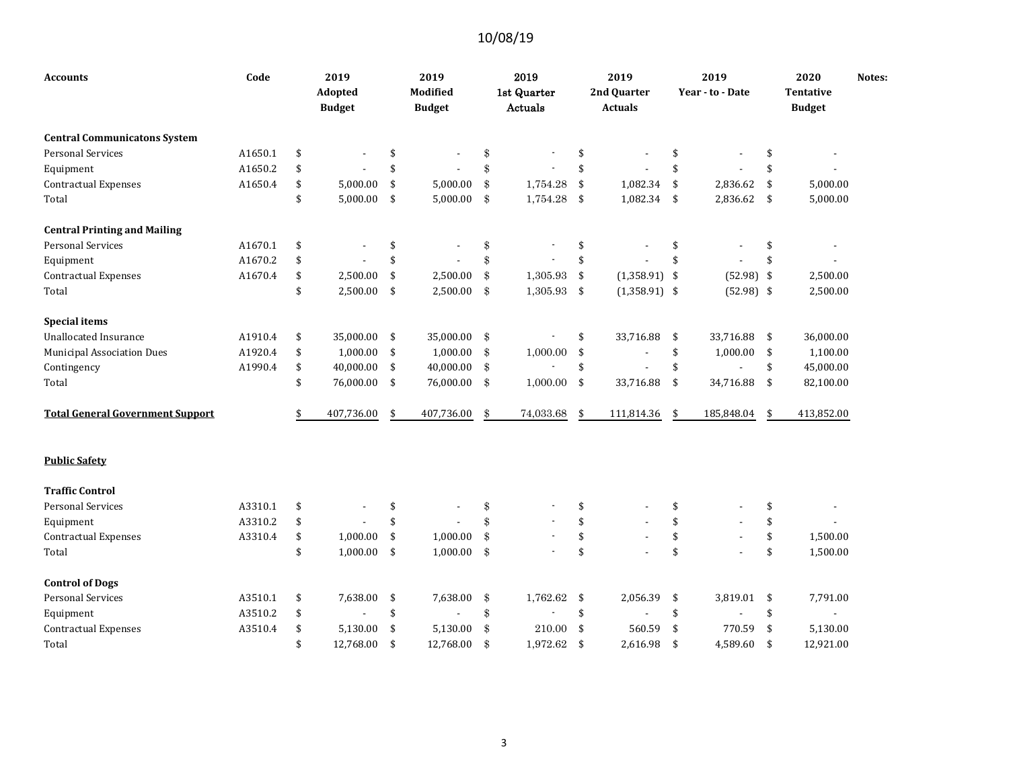| Accounts                                | Code    | 2019<br>Adopted<br><b>Budget</b> | 2019<br>Modified<br><b>Budget</b> | 2019<br>1st Quarter<br>Actuals |     | 2019<br>2nd Quarter<br><b>Actuals</b> |                    | 2019<br>Year - to - Date |                    | 2020<br><b>Tentative</b><br><b>Budget</b> | Notes: |
|-----------------------------------------|---------|----------------------------------|-----------------------------------|--------------------------------|-----|---------------------------------------|--------------------|--------------------------|--------------------|-------------------------------------------|--------|
| <b>Central Communicatons System</b>     |         |                                  |                                   |                                |     |                                       |                    |                          |                    |                                           |        |
| <b>Personal Services</b>                | A1650.1 | \$                               | \$                                | \$                             | \$  |                                       | \$                 |                          | \$                 |                                           |        |
| Equipment                               | A1650.2 | \$                               | \$                                | \$                             | \$  |                                       | \$                 |                          | $\mathbf{\hat{S}}$ |                                           |        |
| <b>Contractual Expenses</b>             | A1650.4 | \$<br>5,000.00                   | \$<br>5,000.00                    | \$<br>1,754.28                 | \$  | 1,082.34                              | \$                 | 2,836.62                 | \$                 | 5,000.00                                  |        |
| Total                                   |         | \$<br>5,000.00                   | \$<br>5,000.00                    | \$<br>1,754.28                 | -\$ | 1,082.34 \$                           |                    | 2,836.62                 | \$                 | 5,000.00                                  |        |
| <b>Central Printing and Mailing</b>     |         |                                  |                                   |                                |     |                                       |                    |                          |                    |                                           |        |
| <b>Personal Services</b>                | A1670.1 | \$                               | \$                                | \$                             | \$  |                                       | \$                 |                          | \$                 |                                           |        |
| Equipment                               | A1670.2 | \$                               | \$                                | \$                             | \$  |                                       | \$                 |                          | \$                 |                                           |        |
| <b>Contractual Expenses</b>             | A1670.4 | \$<br>2,500.00                   | \$<br>2,500.00                    | \$<br>1,305.93                 | \$  | $(1,358.91)$ \$                       |                    | $(52.98)$ \$             |                    | 2,500.00                                  |        |
| Total                                   |         | \$<br>2,500.00                   | \$<br>2,500.00                    | \$<br>1,305.93                 | \$  | $(1,358.91)$ \$                       |                    | $(52.98)$ \$             |                    | 2,500.00                                  |        |
| <b>Special items</b>                    |         |                                  |                                   |                                |     |                                       |                    |                          |                    |                                           |        |
| <b>Unallocated Insurance</b>            | A1910.4 | \$<br>35,000.00                  | \$<br>35,000.00                   | \$                             | \$  | 33,716.88                             | \$                 | 33,716.88                | \$                 | 36,000.00                                 |        |
| <b>Municipal Association Dues</b>       | A1920.4 | \$<br>1,000.00                   | \$<br>1,000.00                    | \$<br>1,000.00                 | \$  |                                       | \$                 | 1,000.00                 | \$                 | 1,100.00                                  |        |
| Contingency                             | A1990.4 | \$<br>40,000.00                  | \$<br>40,000.00                   | \$                             | \$  |                                       | \$                 |                          | \$                 | 45,000.00                                 |        |
| Total                                   |         | \$<br>76,000.00                  | \$<br>76,000.00                   | \$<br>1,000.00                 | \$  | 33,716.88                             | $\sqrt{5}$         | 34,716.88                | \$                 | 82,100.00                                 |        |
| <b>Total General Government Support</b> |         | \$<br>407,736.00                 | \$<br>407,736.00                  | \$<br>74,033.68                | \$  | 111,814.36                            | \$                 | 185,848.04               | \$                 | 413,852.00                                |        |
| <b>Public Safety</b>                    |         |                                  |                                   |                                |     |                                       |                    |                          |                    |                                           |        |
| <b>Traffic Control</b>                  |         |                                  |                                   |                                |     |                                       |                    |                          |                    |                                           |        |
| <b>Personal Services</b>                | A3310.1 | \$                               | \$                                | \$                             | \$  |                                       | \$                 |                          | \$                 |                                           |        |
| Equipment                               | A3310.2 | \$                               | \$                                | \$                             | \$  |                                       | \$                 |                          | \$                 |                                           |        |
| <b>Contractual Expenses</b>             | A3310.4 | \$<br>1,000.00                   | \$<br>1,000.00                    | \$<br>$\overline{\phantom{a}}$ | \$  |                                       | \$                 |                          | \$                 | 1,500.00                                  |        |
| Total                                   |         | \$<br>1,000.00                   | \$<br>1,000.00                    | \$                             | \$  |                                       | \$                 |                          | \$                 | 1,500.00                                  |        |
| <b>Control of Dogs</b>                  |         |                                  |                                   |                                |     |                                       |                    |                          |                    |                                           |        |
| <b>Personal Services</b>                | A3510.1 | \$<br>7,638.00                   | \$<br>7,638.00                    | \$<br>1,762.62                 | \$  | 2,056.39                              | \$                 | 3,819.01                 | \$                 | 7,791.00                                  |        |
| Equipment                               | A3510.2 | \$                               | \$                                | \$<br>Ĭ.                       | \$  |                                       | \$                 |                          | \$                 |                                           |        |
| <b>Contractual Expenses</b>             | A3510.4 | \$<br>5,130.00                   | \$<br>5,130.00                    | \$<br>210.00                   | \$  | 560.59                                | \$                 | 770.59                   | \$                 | 5,130.00                                  |        |
| Total                                   |         | \$<br>12,768.00                  | \$<br>12,768.00                   | \$<br>1,972.62                 | \$  | 2.616.98                              | $\mathbf{\hat{S}}$ | 4,589.60                 | \$                 | 12,921.00                                 |        |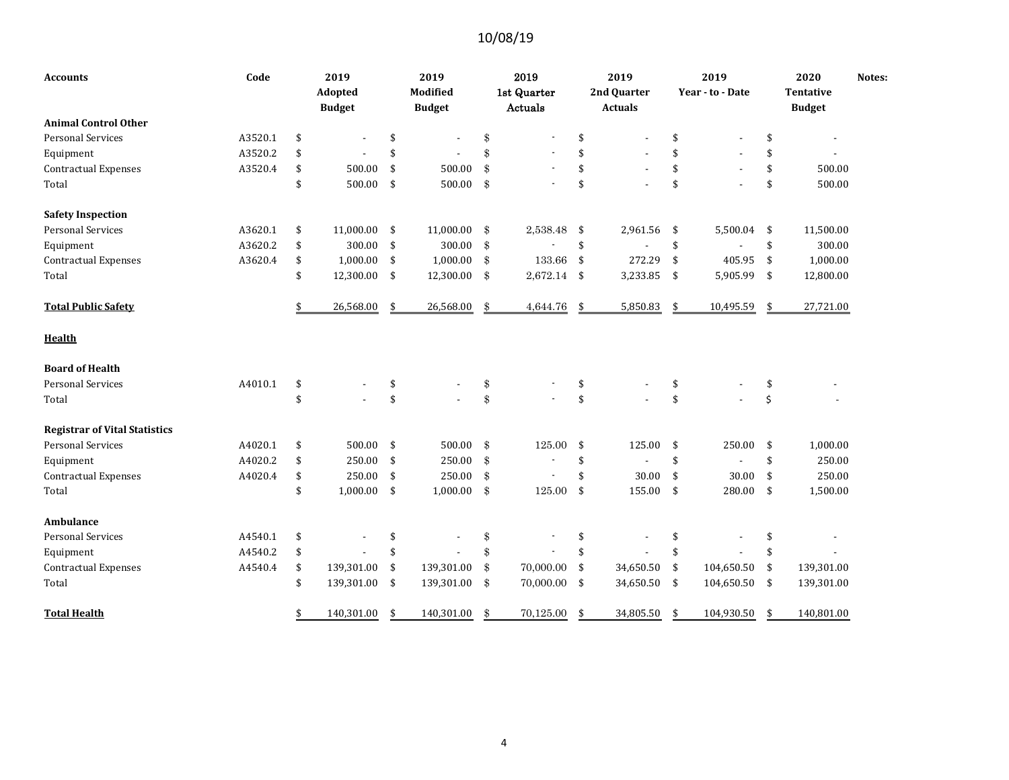| <b>Accounts</b>                      | Code    | 2019<br>Adopted<br><b>Budget</b> | 2019<br>Modified<br><b>Budget</b> |               | 2019<br>1st Quarter<br>Actuals |     | 2019<br>2nd Quarter<br><b>Actuals</b> |            | 2019<br>Year - to - Date | 2020<br><b>Tentative</b><br><b>Budget</b> | Notes: |
|--------------------------------------|---------|----------------------------------|-----------------------------------|---------------|--------------------------------|-----|---------------------------------------|------------|--------------------------|-------------------------------------------|--------|
| <b>Animal Control Other</b>          |         |                                  |                                   |               |                                |     |                                       |            |                          |                                           |        |
| <b>Personal Services</b>             | A3520.1 | \$<br>٠                          | \$<br>$\overline{\phantom{a}}$    | \$            |                                | \$  |                                       | \$         |                          | \$                                        |        |
| Equipment                            | A3520.2 | \$                               | \$                                | \$            |                                | \$  |                                       | \$         |                          | \$                                        |        |
| <b>Contractual Expenses</b>          | A3520.4 | \$<br>500.00                     | \$<br>500.00                      | \$            |                                | \$  |                                       | \$         |                          | \$<br>500.00                              |        |
| Total                                |         | \$<br>500.00                     | \$<br>500.00                      | \$            |                                | \$  |                                       | \$         |                          | \$<br>500.00                              |        |
| <b>Safety Inspection</b>             |         |                                  |                                   |               |                                |     |                                       |            |                          |                                           |        |
| <b>Personal Services</b>             | A3620.1 | \$<br>11,000.00                  | \$<br>11,000.00                   | \$            | 2,538.48                       | \$  | 2,961.56                              | \$         | 5,500.04                 | \$<br>11,500.00                           |        |
| Equipment                            | A3620.2 | \$<br>300.00                     | \$<br>300.00                      | \$            |                                | \$  |                                       | \$         |                          | \$<br>300.00                              |        |
| <b>Contractual Expenses</b>          | A3620.4 | \$<br>1,000.00                   | \$<br>1,000.00                    | \$            | 133.66                         | \$  | 272.29                                | \$         | 405.95                   | \$<br>1,000.00                            |        |
| Total                                |         | \$<br>12,300.00                  | \$<br>12,300.00                   | \$            | $2,672.14$ \$                  |     | 3,233.85                              | \$         | 5,905.99                 | \$<br>12,800.00                           |        |
| <b>Total Public Safety</b>           |         | \$<br>26,568.00                  | \$<br>26,568.00                   | \$            | 4,644.76                       | -\$ | 5,850.83                              | \$         | 10,495.59                | \$<br>27,721.00                           |        |
| <b>Health</b>                        |         |                                  |                                   |               |                                |     |                                       |            |                          |                                           |        |
| <b>Board of Health</b>               |         |                                  |                                   |               |                                |     |                                       |            |                          |                                           |        |
| <b>Personal Services</b>             | A4010.1 | \$                               | \$                                | \$            |                                | \$  |                                       | \$         |                          | \$                                        |        |
| Total                                |         | \$                               | \$                                | \$            | $\overline{\phantom{a}}$       | \$  |                                       | \$         |                          | \$                                        |        |
| <b>Registrar of Vital Statistics</b> |         |                                  |                                   |               |                                |     |                                       |            |                          |                                           |        |
| <b>Personal Services</b>             | A4020.1 | \$<br>500.00                     | \$<br>500.00                      | $\mathbf{\$}$ | 125.00                         | \$  | 125.00                                | \$         | 250.00                   | \$<br>1,000.00                            |        |
| Equipment                            | A4020.2 | \$<br>250.00                     | \$<br>250.00                      | \$            | $\overline{\phantom{a}}$       | \$  |                                       | \$         |                          | \$<br>250.00                              |        |
| <b>Contractual Expenses</b>          | A4020.4 | \$<br>250.00                     | \$<br>250.00                      | \$            |                                | \$  | 30.00                                 | \$         | 30.00                    | \$<br>250.00                              |        |
| Total                                |         | \$<br>1,000.00                   | \$<br>1,000.00                    | \$            | 125.00                         | \$  | 155.00                                | $\sqrt{5}$ | 280.00                   | \$<br>1,500.00                            |        |
| <b>Ambulance</b>                     |         |                                  |                                   |               |                                |     |                                       |            |                          |                                           |        |
| <b>Personal Services</b>             | A4540.1 | \$<br>$\overline{\phantom{a}}$   | \$<br>$\blacksquare$              | \$            |                                | \$  | $\blacksquare$                        | \$         |                          | \$                                        |        |
| Equipment                            | A4540.2 | \$                               | \$                                | \$            |                                | \$  |                                       | \$         |                          | \$                                        |        |
| <b>Contractual Expenses</b>          | A4540.4 | \$<br>139,301.00                 | \$<br>139,301.00                  | \$            | 70,000.00                      | \$  | 34,650.50                             | \$         | 104,650.50               | \$<br>139,301.00                          |        |
| Total                                |         | \$<br>139,301.00                 | \$<br>139,301.00                  | \$            | 70,000.00                      | \$  | 34,650.50                             | \$         | 104,650.50               | \$<br>139,301.00                          |        |
| <b>Total Health</b>                  |         | \$<br>140,301.00                 | \$<br>140,301.00                  | \$            | 70,125.00                      | \$  | 34,805.50                             | -\$        | 104,930.50               | \$<br>140,801.00                          |        |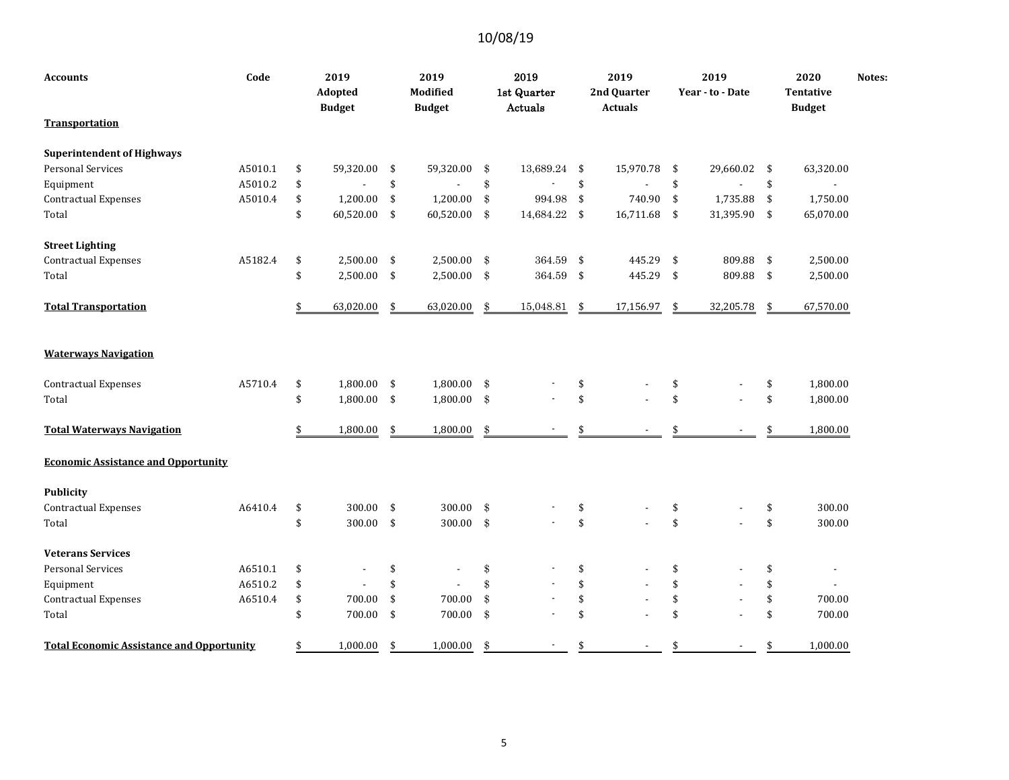| Accounts                                         | Code    |    | 2019<br>Adopted<br><b>Budget</b> | 2019<br>Modified<br><b>Budget</b> |               | 2019<br>1st Quarter<br>Actuals |               | 2019<br>2nd Quarter<br><b>Actuals</b> |               | 2019<br>Year - to - Date | 2020<br><b>Tentative</b><br><b>Budget</b> | Notes: |
|--------------------------------------------------|---------|----|----------------------------------|-----------------------------------|---------------|--------------------------------|---------------|---------------------------------------|---------------|--------------------------|-------------------------------------------|--------|
| Transportation                                   |         |    |                                  |                                   |               |                                |               |                                       |               |                          |                                           |        |
| <b>Superintendent of Highways</b>                |         |    |                                  |                                   |               |                                |               |                                       |               |                          |                                           |        |
| <b>Personal Services</b>                         | A5010.1 | \$ | 59,320.00                        | \$<br>59,320.00                   | \$            | 13,689.24 \$                   |               | 15,970.78                             | $\frac{1}{2}$ | 29,660.02                | \$<br>63,320.00                           |        |
| Equipment                                        | A5010.2 | \$ |                                  | \$<br>$\overline{\phantom{a}}$    | \$            |                                | \$            |                                       | \$            | $\overline{\phantom{0}}$ | \$<br>$\blacksquare$                      |        |
| <b>Contractual Expenses</b>                      | A5010.4 | \$ | 1,200.00                         | \$<br>1,200.00                    | \$            | 994.98                         | \$            | 740.90                                | \$            | 1,735.88                 | \$<br>1,750.00                            |        |
| Total                                            |         | \$ | 60,520.00                        | \$<br>60,520.00                   | \$            | 14,684.22 \$                   |               | 16,711.68                             | -\$           | 31,395.90                | \$<br>65,070.00                           |        |
| <b>Street Lighting</b>                           |         |    |                                  |                                   |               |                                |               |                                       |               |                          |                                           |        |
| <b>Contractual Expenses</b>                      | A5182.4 | \$ | 2,500.00                         | \$<br>2,500.00                    | \$            | $364.59\,$                     | $\frac{1}{2}$ | 445.29                                | \$            | 809.88                   | \$<br>2,500.00                            |        |
| Total                                            |         | \$ | 2,500.00                         | \$<br>2,500.00                    | \$            | 364.59 \$                      |               | 445.29                                | -\$           | 809.88                   | \$<br>2,500.00                            |        |
| <b>Total Transportation</b>                      |         | S. | 63,020.00                        | \$<br>63,020.00                   | \$            | 15,048.81                      | \$            | 17,156.97                             | -\$           | 32,205.78                | \$<br>67,570.00                           |        |
| <b>Waterways Navigation</b>                      |         |    |                                  |                                   |               |                                |               |                                       |               |                          |                                           |        |
| <b>Contractual Expenses</b>                      | A5710.4 | \$ | 1,800.00                         | \$<br>1,800.00                    | \$            |                                | \$            |                                       | \$            |                          | \$<br>1,800.00                            |        |
| Total                                            |         | \$ | 1,800.00                         | \$<br>1,800.00                    | \$            |                                | \$            |                                       | \$            |                          | \$<br>1,800.00                            |        |
| <b>Total Waterways Navigation</b>                |         | \$ | 1,800.00                         | \$<br>1,800.00                    | \$            |                                | \$            |                                       | \$            |                          | \$<br>1,800.00                            |        |
| <b>Economic Assistance and Opportunity</b>       |         |    |                                  |                                   |               |                                |               |                                       |               |                          |                                           |        |
| <b>Publicity</b>                                 |         |    |                                  |                                   |               |                                |               |                                       |               |                          |                                           |        |
| <b>Contractual Expenses</b>                      | A6410.4 | \$ | 300.00                           | \$<br>300.00                      | \$            |                                | \$            |                                       | \$            |                          | \$<br>300.00                              |        |
| Total                                            |         | \$ | 300.00                           | \$<br>300.00                      | $\mathbf{\$}$ |                                | \$            |                                       | \$            |                          | \$<br>300.00                              |        |
| <b>Veterans Services</b>                         |         |    |                                  |                                   |               |                                |               |                                       |               |                          |                                           |        |
| <b>Personal Services</b>                         | A6510.1 | \$ |                                  | \$                                | \$            |                                | \$            |                                       | \$            |                          | \$<br>$\overline{\phantom{a}}$            |        |
| Equipment                                        | A6510.2 | \$ |                                  | \$                                | \$            |                                | \$            |                                       | \$            |                          | \$                                        |        |
| <b>Contractual Expenses</b>                      | A6510.4 | \$ | 700.00                           | \$<br>700.00                      | \$            |                                | \$            |                                       | \$            |                          | \$<br>700.00                              |        |
| Total                                            |         | \$ | 700.00                           | \$<br>700.00                      | \$            |                                | \$            |                                       | \$            |                          | \$<br>700.00                              |        |
| <b>Total Economic Assistance and Opportunity</b> |         | \$ | 1,000.00                         | \$<br>1,000.00                    | \$            |                                | \$            |                                       | \$            |                          | \$<br>1,000.00                            |        |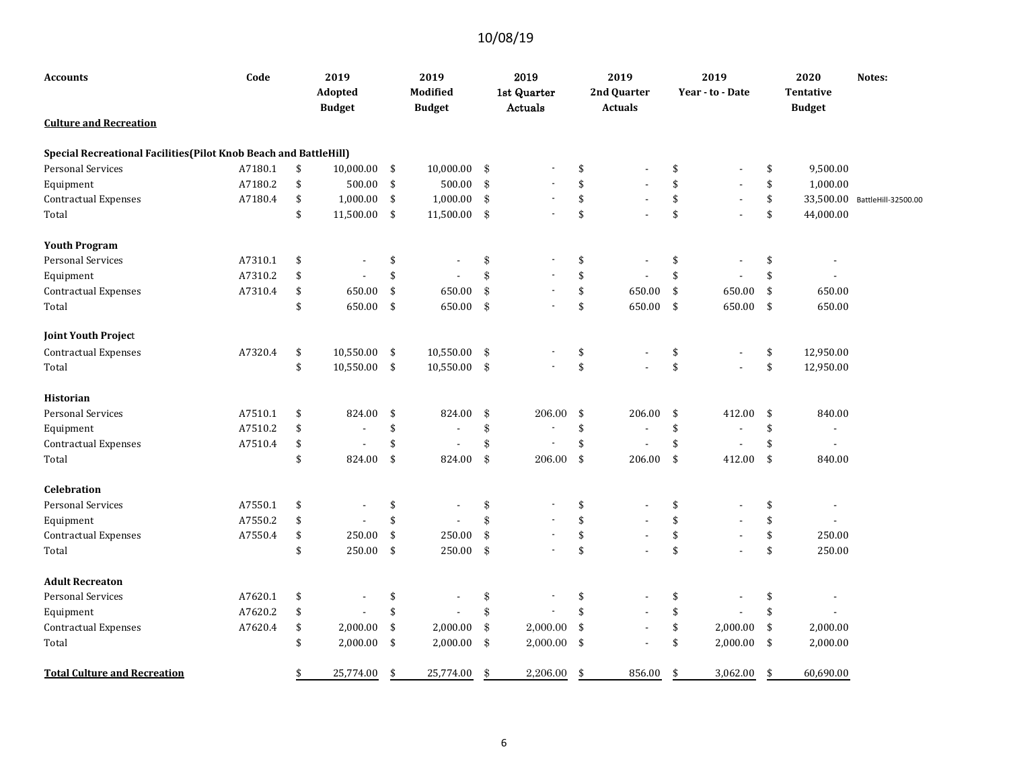| Accounts                                                          | Code    | 2019<br>Adopted<br><b>Budget</b> |                         | 2019<br>Modified<br><b>Budget</b> |                                               | 2019<br>1st Quarter<br>Actuals |     | 2019<br>2nd Quarter<br><b>Actuals</b> |            | 2019<br>Year - to - Date |     | 2020<br><b>Tentative</b><br><b>Budget</b> | Notes:              |
|-------------------------------------------------------------------|---------|----------------------------------|-------------------------|-----------------------------------|-----------------------------------------------|--------------------------------|-----|---------------------------------------|------------|--------------------------|-----|-------------------------------------------|---------------------|
| <b>Culture and Recreation</b>                                     |         |                                  |                         |                                   |                                               |                                |     |                                       |            |                          |     |                                           |                     |
| Special Recreational Facilities (Pilot Knob Beach and BattleHill) |         |                                  |                         |                                   |                                               |                                |     |                                       |            |                          |     |                                           |                     |
| <b>Personal Services</b>                                          | A7180.1 | \$<br>10,000.00                  | \$                      | 10,000.00                         | \$                                            |                                | \$  |                                       | \$         |                          | \$  | 9,500.00                                  |                     |
| Equipment                                                         | A7180.2 | \$<br>500.00                     | $\sqrt[6]{\frac{1}{2}}$ | 500.00                            | $\, \, \raisebox{12pt}{$\scriptstyle \circ$}$ |                                | \$  |                                       | \$         |                          | \$  | 1,000.00                                  |                     |
| <b>Contractual Expenses</b>                                       | A7180.4 | \$<br>1,000.00                   | \$                      | 1,000.00                          | \$                                            |                                | \$  | $\blacksquare$                        | \$         | $\overline{\phantom{a}}$ | \$  | 33,500.00                                 | BattleHill-32500.00 |
| Total                                                             |         | \$<br>11,500.00                  | \$                      | 11,500.00                         | $\frac{1}{2}$                                 | $\overline{\phantom{a}}$       | \$  |                                       | \$         | ÷.                       | \$  | 44,000.00                                 |                     |
| <b>Youth Program</b>                                              |         |                                  |                         |                                   |                                               |                                |     |                                       |            |                          |     |                                           |                     |
| <b>Personal Services</b>                                          | A7310.1 | \$                               | \$                      |                                   | \$                                            |                                | \$  |                                       | \$         | ÷,                       | \$  | $\overline{\phantom{a}}$                  |                     |
| Equipment                                                         | A7310.2 | \$                               | \$                      |                                   | \$                                            |                                | \$  |                                       | \$         |                          | \$  |                                           |                     |
| <b>Contractual Expenses</b>                                       | A7310.4 | \$<br>650.00                     | \$                      | 650.00                            | \$                                            |                                | \$  | 650.00                                | \$         | 650.00                   | \$  | 650.00                                    |                     |
| Total                                                             |         | \$<br>650.00                     | $\sqrt{5}$              | 650.00                            | $\frac{3}{2}$                                 | $\overline{\phantom{a}}$       | \$  | 650.00                                | $\sqrt{2}$ | 650.00                   | \$  | 650.00                                    |                     |
| <b>Joint Youth Project</b>                                        |         |                                  |                         |                                   |                                               |                                |     |                                       |            |                          |     |                                           |                     |
| <b>Contractual Expenses</b>                                       | A7320.4 | \$<br>10,550.00                  | $\sqrt{5}$              | 10,550.00                         | $\frac{1}{2}$                                 |                                | \$  |                                       | \$         |                          | \$  | 12,950.00                                 |                     |
| Total                                                             |         | \$<br>10,550.00 \$               |                         | 10,550.00                         | $\mathfrak{F}$                                |                                | \$  |                                       | \$         | $\overline{\phantom{a}}$ | \$  | 12,950.00                                 |                     |
| <b>Historian</b>                                                  |         |                                  |                         |                                   |                                               |                                |     |                                       |            |                          |     |                                           |                     |
| <b>Personal Services</b>                                          | A7510.1 | \$<br>824.00                     | \$                      | 824.00                            | \$                                            | 206.00                         | \$  | 206.00                                | \$         | 412.00                   | \$  | 840.00                                    |                     |
| Equipment                                                         | A7510.2 | \$                               | \$                      |                                   | \$                                            | $\overline{a}$                 | \$  | $\overline{a}$                        | \$         | $\overline{\phantom{a}}$ | \$  | $\sim$                                    |                     |
| <b>Contractual Expenses</b>                                       | A7510.4 | \$<br>$\overline{\phantom{a}}$   | \$                      |                                   | \$                                            | ÷,                             | \$  |                                       | \$         |                          | \$  | $\blacksquare$                            |                     |
| Total                                                             |         | \$<br>824.00                     | \$                      | 824.00                            | \$                                            | 206.00                         | \$  | 206.00                                | \$         | 412.00                   | \$  | 840.00                                    |                     |
| <b>Celebration</b>                                                |         |                                  |                         |                                   |                                               |                                |     |                                       |            |                          |     |                                           |                     |
| <b>Personal Services</b>                                          | A7550.1 | \$                               | \$                      |                                   | \$                                            |                                | \$  |                                       | \$         |                          | \$  | $\overline{\phantom{a}}$                  |                     |
| Equipment                                                         | A7550.2 | \$                               | \$                      |                                   | \$                                            |                                | \$  |                                       | \$         |                          | \$  |                                           |                     |
| <b>Contractual Expenses</b>                                       | A7550.4 | \$<br>250.00                     | \$                      | 250.00                            | \$                                            |                                | \$  |                                       | \$         |                          | \$  | 250.00                                    |                     |
| Total                                                             |         | \$<br>250.00                     | \$                      | 250.00                            | $\mathbf{\$}$                                 |                                | \$  |                                       | \$         |                          | \$  | 250.00                                    |                     |
| <b>Adult Recreaton</b>                                            |         |                                  |                         |                                   |                                               |                                |     |                                       |            |                          |     |                                           |                     |
| <b>Personal Services</b>                                          | A7620.1 | \$                               | \$                      |                                   | \$                                            |                                | \$  |                                       | \$         |                          | \$  | $\overline{\phantom{a}}$                  |                     |
| Equipment                                                         | A7620.2 | \$                               | \$                      |                                   | \$                                            |                                | \$  |                                       | \$         |                          | \$  |                                           |                     |
| <b>Contractual Expenses</b>                                       | A7620.4 | \$<br>2,000.00                   | \$                      | 2,000.00                          | $\frac{1}{2}$                                 | 2,000.00                       | \$  |                                       | \$         | 2,000.00                 | \$  | 2,000.00                                  |                     |
| Total                                                             |         | \$<br>2,000.00                   | \$                      | 2,000.00                          | \$                                            | 2,000.00                       | -\$ |                                       | \$         | 2,000.00                 | -\$ | 2,000.00                                  |                     |
| <b>Total Culture and Recreation</b>                               |         | \$<br>25,774.00                  | \$                      | 25,774.00                         | \$                                            | 2,206.00                       | \$  | 856.00                                | \$         | 3,062.00                 | \$  | 60,690.00                                 |                     |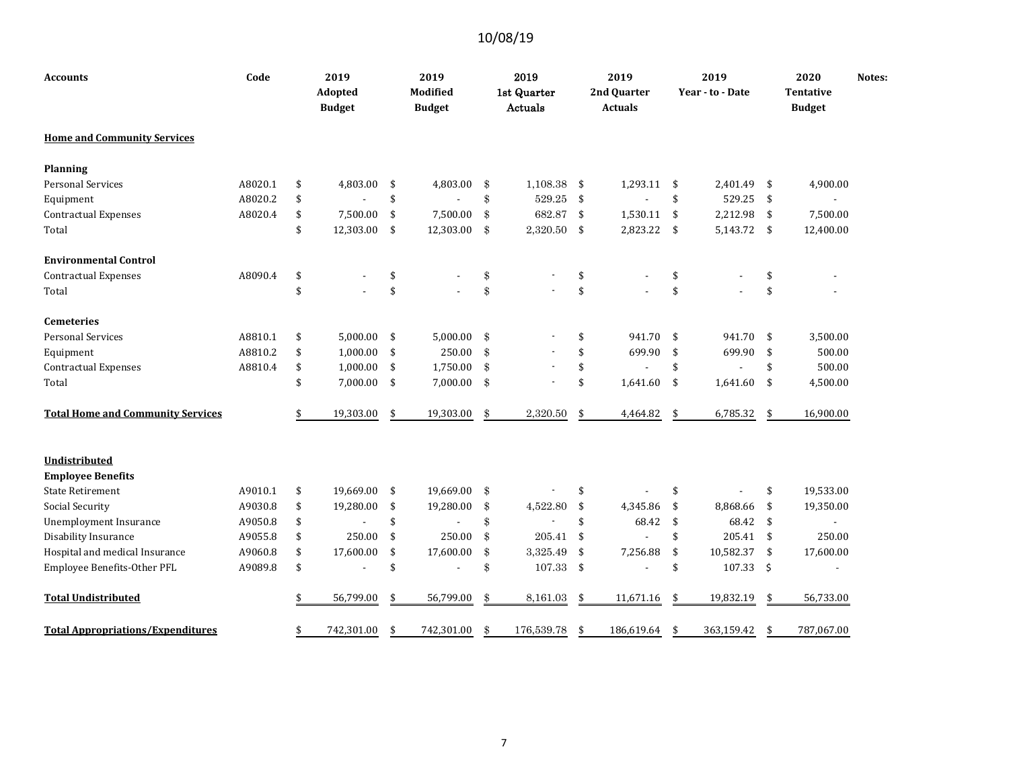| <b>Accounts</b>                          | Code    | 2019<br>Adopted<br><b>Budget</b> |     | 2019<br>Modified<br><b>Budget</b> | 2019<br>1st Quarter<br>Actuals |            | 2019<br>2nd Quarter<br><b>Actuals</b> |                | 2019<br>Year - to - Date |     | 2020<br>Tentative<br><b>Budget</b> | Notes: |
|------------------------------------------|---------|----------------------------------|-----|-----------------------------------|--------------------------------|------------|---------------------------------------|----------------|--------------------------|-----|------------------------------------|--------|
| <b>Home and Community Services</b>       |         |                                  |     |                                   |                                |            |                                       |                |                          |     |                                    |        |
| Planning                                 |         |                                  |     |                                   |                                |            |                                       |                |                          |     |                                    |        |
| <b>Personal Services</b>                 | A8020.1 | \$<br>4,803.00                   | \$  | 4,803.00                          | \$<br>1,108.38                 | -\$        | 1,293.11                              | -\$            | 2,401.49                 | \$  | 4,900.00                           |        |
| Equipment                                | A8020.2 | \$                               | \$  |                                   | \$<br>529.25                   | \$         |                                       | \$             | 529.25                   | \$  |                                    |        |
| Contractual Expenses                     | A8020.4 | \$<br>7,500.00                   | \$  | 7,500.00                          | \$<br>682.87                   | \$         | 1,530.11                              | \$             | 2,212.98                 | \$  | 7,500.00                           |        |
| Total                                    |         | \$<br>12,303.00                  | \$  | 12,303.00                         | \$<br>2,320.50                 | $\sqrt{5}$ | 2,823.22                              | \$             | 5,143.72 \$              |     | 12,400.00                          |        |
| <b>Environmental Control</b>             |         |                                  |     |                                   |                                |            |                                       |                |                          |     |                                    |        |
| <b>Contractual Expenses</b>              | A8090.4 | \$                               | \$  |                                   | \$                             | \$         |                                       | \$             |                          | \$  |                                    |        |
| Total                                    |         | \$                               | \$  |                                   | \$                             | \$         |                                       | \$             |                          | \$  |                                    |        |
| <b>Cemeteries</b>                        |         |                                  |     |                                   |                                |            |                                       |                |                          |     |                                    |        |
| <b>Personal Services</b>                 | A8810.1 | \$<br>5,000.00                   | \$  | 5,000.00                          | \$                             | \$         | 941.70                                | \$             | 941.70                   | -\$ | 3,500.00                           |        |
| Equipment                                | A8810.2 | \$<br>1,000.00                   | \$  | 250.00                            | \$                             | \$         | 699.90                                | $\mathfrak{S}$ | 699.90                   | \$  | 500.00                             |        |
| <b>Contractual Expenses</b>              | A8810.4 | \$<br>1,000.00                   | \$  | 1,750.00                          | \$                             | \$         |                                       | \$             |                          | \$  | 500.00                             |        |
| Total                                    |         | \$<br>7,000.00                   | -\$ | 7,000.00                          | \$                             | \$         | 1,641.60                              | \$             | 1,641.60                 | \$  | 4,500.00                           |        |
| <b>Total Home and Community Services</b> |         | \$<br>19,303.00                  | \$  | 19,303.00                         | \$<br>2,320.50                 | \$         | 4,464.82                              | \$             | 6,785.32                 | \$  | 16,900.00                          |        |
| <b>Undistributed</b>                     |         |                                  |     |                                   |                                |            |                                       |                |                          |     |                                    |        |
| <b>Employee Benefits</b>                 |         |                                  |     |                                   |                                |            |                                       |                |                          |     |                                    |        |
| <b>State Retirement</b>                  | A9010.1 | \$<br>19.669.00                  | \$  | 19,669.00                         | \$                             | \$         |                                       | \$             |                          | \$  | 19,533.00                          |        |
| <b>Social Security</b>                   | A9030.8 | \$<br>19,280.00                  | \$  | 19,280.00                         | \$<br>4,522.80                 | \$         | 4,345.86                              | \$             | 8,868.66                 | \$  | 19,350.00                          |        |
| <b>Unemployment Insurance</b>            | A9050.8 | \$                               | \$  |                                   | \$                             | \$         | 68.42                                 | \$             | 68.42                    | \$  |                                    |        |
| Disability Insurance                     | A9055.8 | \$<br>250.00                     | \$  | 250.00                            | \$<br>205.41                   | \$         |                                       | \$             | 205.41                   | -\$ | 250.00                             |        |
| Hospital and medical Insurance           | A9060.8 | \$<br>17,600.00                  | \$  | 17,600.00                         | \$<br>3,325.49                 | \$         | 7,256.88                              | $\sqrt{5}$     | 10,582.37                | \$  | 17,600.00                          |        |
| Employee Benefits-Other PFL              | A9089.8 | \$<br>$\blacksquare$             | \$  |                                   | \$<br>107.33                   | $\sqrt{5}$ |                                       | \$             | 107.33                   | \$  | $\overline{\phantom{a}}$           |        |
| <b>Total Undistributed</b>               |         | \$<br>56,799.00                  | \$  | 56,799.00                         | \$<br>8,161.03                 | \$         | 11,671.16                             | \$             | 19,832.19                | \$  | 56,733.00                          |        |
| <b>Total Appropriations/Expenditures</b> |         | \$<br>742,301.00                 | \$  | 742,301.00                        | \$<br>176,539.78               | \$         | 186,619.64                            | -\$            | 363,159.42               | \$  | 787,067.00                         |        |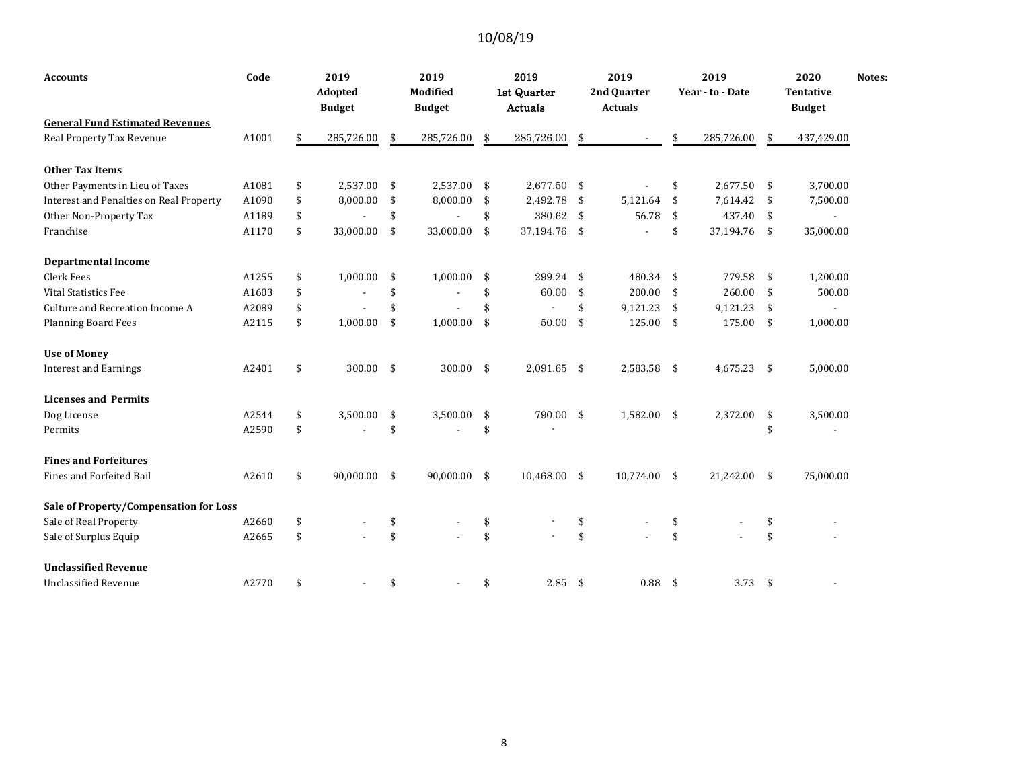| <b>Accounts</b>                         | Code  | 2019                           |     | 2019          | 2019                 | 2019           |      | 2019             |     | 2020             | Notes: |
|-----------------------------------------|-------|--------------------------------|-----|---------------|----------------------|----------------|------|------------------|-----|------------------|--------|
|                                         |       | Adopted                        |     | Modified      | 1st Quarter          | 2nd Quarter    |      | Year - to - Date |     | <b>Tentative</b> |        |
|                                         |       | <b>Budget</b>                  |     | <b>Budget</b> | Actuals              | <b>Actuals</b> |      |                  |     | <b>Budget</b>    |        |
| <b>General Fund Estimated Revenues</b>  |       |                                |     |               |                      |                |      |                  |     |                  |        |
| Real Property Tax Revenue               | A1001 | \$<br>285,726.00               | \$  | 285,726.00    | \$<br>285,726.00     | \$             | \$   | 285,726.00       | \$  | 437,429.00       |        |
| <b>Other Tax Items</b>                  |       |                                |     |               |                      |                |      |                  |     |                  |        |
| Other Payments in Lieu of Taxes         | A1081 | \$<br>2,537.00                 | \$  | 2,537.00      | \$<br>2,677.50 \$    |                | \$   | $2,677.50$ \$    |     | 3,700.00         |        |
| Interest and Penalties on Real Property | A1090 | \$<br>8,000.00                 | \$  | 8,000.00      | \$<br>2,492.78       | \$<br>5,121.64 | \$   | 7,614.42         | -\$ | 7,500.00         |        |
| Other Non-Property Tax                  | A1189 | \$                             | \$  |               | \$<br>380.62 \$      | 56.78          | -\$  | 437.40           | -\$ | $\blacksquare$   |        |
| Franchise                               | A1170 | \$<br>33,000.00                | \$  | 33,000.00     | \$<br>37,194.76 \$   |                | \$   | 37,194.76 \$     |     | 35,000.00        |        |
| <b>Departmental Income</b>              |       |                                |     |               |                      |                |      |                  |     |                  |        |
| Clerk Fees                              | A1255 | \$<br>1,000.00                 | \$  | 1,000.00      | \$<br>$299.24$ \$    | 480.34 \$      |      | 779.58           | -\$ | 1,200.00         |        |
| <b>Vital Statistics Fee</b>             | A1603 | \$<br>$\overline{\phantom{a}}$ | \$  |               | \$<br>60.00          | \$<br>200.00   | \$   | 260.00           | \$  | 500.00           |        |
| Culture and Recreation Income A         | A2089 | \$                             | \$  |               | \$                   | \$<br>9,121.23 | \$   | 9,121.23         | -\$ |                  |        |
| <b>Planning Board Fees</b>              | A2115 | \$<br>1,000.00                 | \$  | 1,000.00      | \$<br>50.00          | \$<br>125.00   | -\$  | 175.00           | \$  | 1,000.00         |        |
| <b>Use of Money</b>                     |       |                                |     |               |                      |                |      |                  |     |                  |        |
| <b>Interest and Earnings</b>            | A2401 | \$<br>300.00                   | -\$ | 300.00        | \$<br>2,091.65 \$    | 2,583.58 \$    |      | 4,675.23         | \$  | 5,000.00         |        |
| <b>Licenses and Permits</b>             |       |                                |     |               |                      |                |      |                  |     |                  |        |
| Dog License                             | A2544 | \$<br>3,500.00                 | \$  | 3,500.00      | \$<br>790.00 \$      | 1,582.00 \$    |      | 2,372.00         | \$  | 3,500.00         |        |
| Permits                                 | A2590 | \$                             | \$  |               | \$                   |                |      |                  | \$  |                  |        |
| <b>Fines and Forfeitures</b>            |       |                                |     |               |                      |                |      |                  |     |                  |        |
| <b>Fines and Forfeited Bail</b>         | A2610 | \$<br>90,000.00                | -\$ | 90,000.00     | \$<br>$10,468.00$ \$ | 10,774.00 \$   |      | 21,242.00 \$     |     | 75,000.00        |        |
| Sale of Property/Compensation for Loss  |       |                                |     |               |                      |                |      |                  |     |                  |        |
| Sale of Real Property                   | A2660 | \$                             | \$  |               | \$                   | \$             | \$   |                  | \$  |                  |        |
| Sale of Surplus Equip                   | A2665 | \$                             | \$  |               | \$                   | \$             | \$   |                  | \$  |                  |        |
| <b>Unclassified Revenue</b>             |       |                                |     |               |                      |                |      |                  |     |                  |        |
| <b>Unclassified Revenue</b>             | A2770 | \$                             | \$  |               | \$<br>2.85           | \$<br>0.88     | - \$ | 3.73             | \$  |                  |        |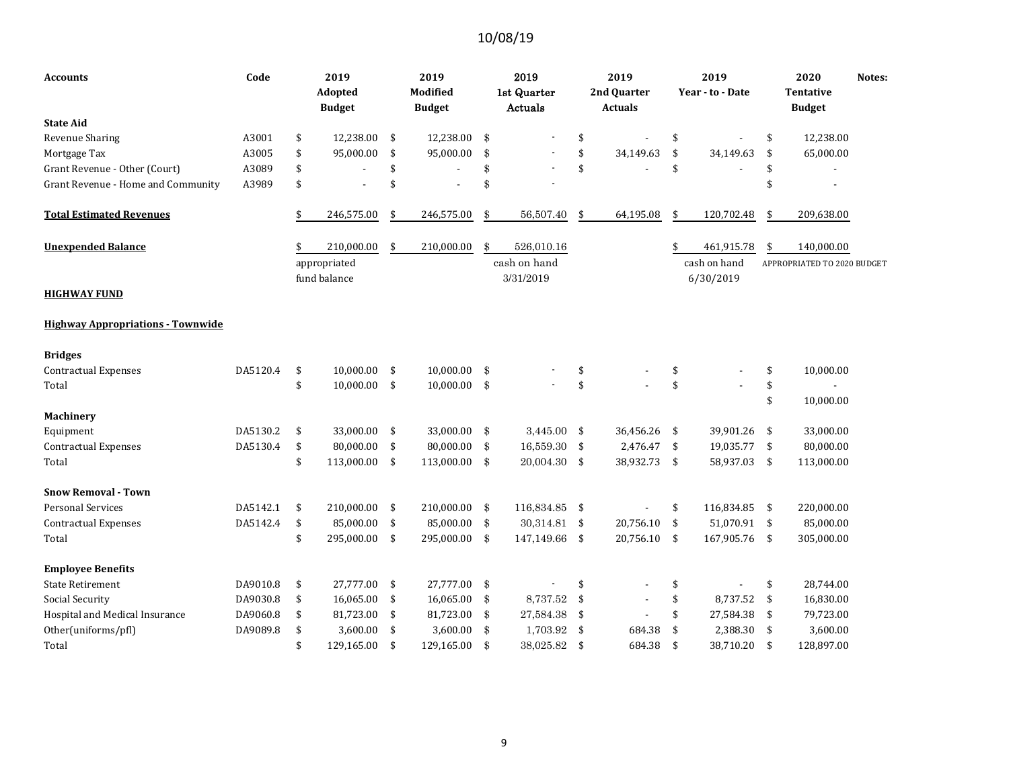| Accounts                                 | Code     | 2019<br>Adopted<br><b>Budget</b> | 2019<br><b>Modified</b><br><b>Budget</b> |                     | 2019<br>1st Quarter<br>Actuals |                         | 2019<br>2nd Quarter<br><b>Actuals</b> |               | 2019<br>Year - to - Date |     | 2020<br>Notes:<br><b>Tentative</b><br><b>Budget</b> |
|------------------------------------------|----------|----------------------------------|------------------------------------------|---------------------|--------------------------------|-------------------------|---------------------------------------|---------------|--------------------------|-----|-----------------------------------------------------|
| <b>State Aid</b>                         |          |                                  |                                          |                     |                                |                         |                                       |               |                          |     |                                                     |
| Revenue Sharing                          | A3001    | \$<br>12,238.00                  | \$<br>12,238.00                          | \$                  |                                | \$                      |                                       | \$            |                          | \$  | 12,238.00                                           |
| Mortgage Tax                             | A3005    | \$<br>95,000.00                  | \$<br>95,000.00                          | \$                  |                                | \$                      | 34,149.63                             | \$            | 34,149.63                | \$  | 65,000.00                                           |
| Grant Revenue - Other (Court)            | A3089    | \$                               | \$                                       | \$                  |                                | \$                      |                                       | \$            |                          | \$  |                                                     |
| Grant Revenue - Home and Community       | A3989    | \$<br>÷,                         | \$<br>$\overline{\phantom{a}}$           | \$                  |                                |                         |                                       |               |                          | \$  |                                                     |
| <b>Total Estimated Revenues</b>          |          | \$<br>246,575.00                 | \$<br>246,575.00                         | \$                  | 56,507.40                      | \$                      | 64,195.08                             | \$            | 120,702.48               | \$  | 209,638.00                                          |
| <b>Unexpended Balance</b>                |          | 210,000.00                       | \$<br>210,000.00                         | \$                  | 526,010.16                     |                         |                                       | \$            | 461,915.78               | \$  | 140,000.00                                          |
|                                          |          | appropriated                     |                                          |                     | cash on hand                   |                         |                                       |               | cash on hand             |     | APPROPRIATED TO 2020 BUDGET                         |
| HIGHWAY FUND                             |          | fund balance                     |                                          |                     | 3/31/2019                      |                         |                                       |               | 6/30/2019                |     |                                                     |
| <b>Highway Appropriations - Townwide</b> |          |                                  |                                          |                     |                                |                         |                                       |               |                          |     |                                                     |
| <b>Bridges</b>                           |          |                                  |                                          |                     |                                |                         |                                       |               |                          |     |                                                     |
| <b>Contractual Expenses</b>              | DA5120.4 | \$<br>10,000.00                  | \$<br>10,000.00                          | \$                  |                                | \$                      |                                       | \$            |                          | \$  | 10,000.00                                           |
| Total                                    |          | \$<br>10,000.00                  | \$<br>10,000.00                          | $\pmb{\mathcal{S}}$ |                                | \$                      |                                       | \$            |                          | \$  |                                                     |
|                                          |          |                                  |                                          |                     |                                |                         |                                       |               |                          | \$  | 10,000.00                                           |
| <b>Machinery</b>                         |          |                                  |                                          |                     |                                |                         |                                       |               |                          |     |                                                     |
| Equipment                                | DA5130.2 | \$<br>33,000.00                  | \$<br>33,000.00                          | \$                  | 3,445.00                       | \$                      | 36,456.26                             | \$            | 39,901.26                | \$  | 33,000.00                                           |
| <b>Contractual Expenses</b>              | DA5130.4 | \$<br>80,000.00                  | \$<br>80,000.00                          | \$                  | 16,559.30                      | - \$                    | 2,476.47                              | $\frac{1}{2}$ | 19,035.77                | -\$ | 80,000.00                                           |
| Total                                    |          | \$<br>113,000.00                 | \$<br>113,000.00                         | \$                  | 20,004.30                      | - \$                    | 38,932.73                             | \$            | 58,937.03                | -\$ | 113,000.00                                          |
| <b>Snow Removal - Town</b>               |          |                                  |                                          |                     |                                |                         |                                       |               |                          |     |                                                     |
| <b>Personal Services</b>                 | DA5142.1 | \$<br>210,000.00                 | \$<br>210,000.00                         | \$                  | 116,834.85                     | - \$                    |                                       | \$            | 116,834.85               | -\$ | 220,000.00                                          |
| <b>Contractual Expenses</b>              | DA5142.4 | \$<br>85,000.00                  | \$<br>85,000.00                          | \$                  | 30,314.81                      | $\overline{\mathbf{S}}$ | 20,756.10                             | \$            | 51,070.91 \$             |     | 85,000.00                                           |
| Total                                    |          | \$<br>295,000.00                 | \$<br>295,000.00                         | \$                  | 147,149.66 \$                  |                         | 20,756.10                             | \$            | 167,905.76               | -\$ | 305,000.00                                          |
| <b>Employee Benefits</b>                 |          |                                  |                                          |                     |                                |                         |                                       |               |                          |     |                                                     |
| <b>State Retirement</b>                  | DA9010.8 | \$<br>27,777.00                  | \$<br>27,777.00                          | \$                  |                                | \$                      |                                       | \$            |                          | \$  | 28,744.00                                           |
| Social Security                          | DA9030.8 | \$<br>16,065.00                  | \$<br>16,065.00                          | \$                  | 8,737.52                       | \$                      |                                       | \$            | 8,737.52                 | \$  | 16,830.00                                           |
| Hospital and Medical Insurance           | DA9060.8 | \$<br>81,723.00                  | \$<br>81,723.00                          | \$                  | 27,584.38                      | -\$                     |                                       | \$            | 27,584.38                | \$  | 79,723.00                                           |
| Other(uniforms/pfl)                      | DA9089.8 | \$<br>3,600.00                   | \$<br>3,600.00                           | \$                  | 1,703.92                       | -\$                     | 684.38                                | \$            | 2,388.30                 | \$  | 3,600.00                                            |
| Total                                    |          | \$<br>129,165.00                 | \$<br>129,165.00                         | \$                  | 38.025.82                      | \$                      | 684.38                                | \$            | 38,710.20                | \$  | 128,897.00                                          |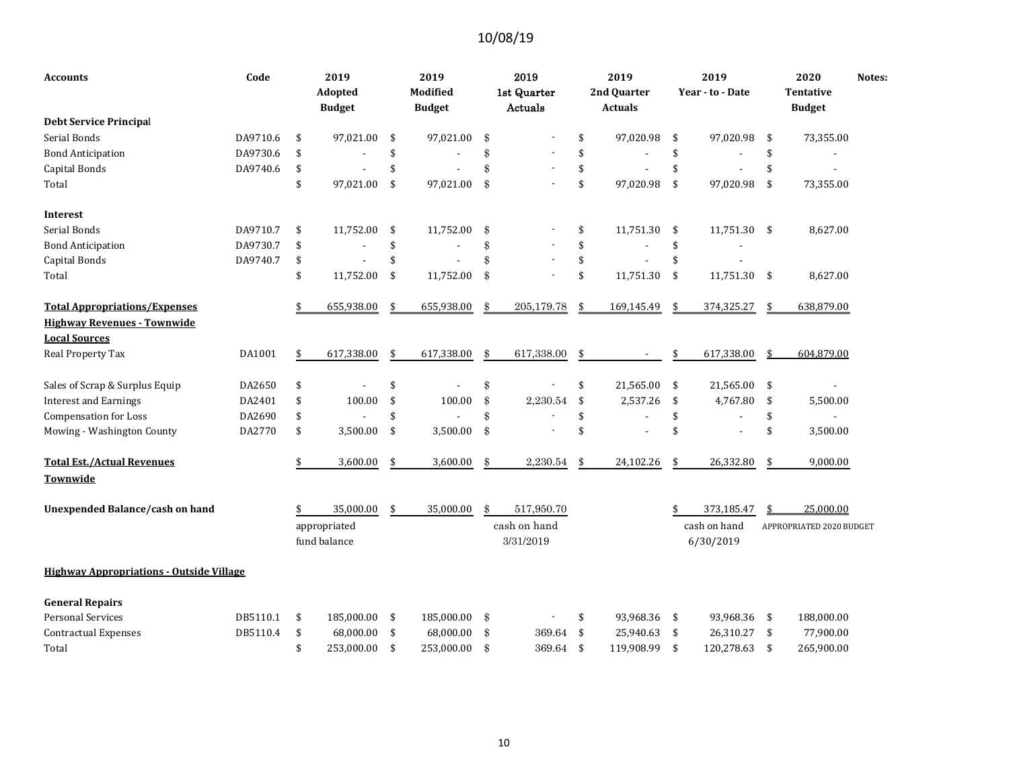| Accounts                                                   | Code     | 2019<br>Adopted<br><b>Budget</b> | 2019<br>Modified<br><b>Budget</b> |               | 2019<br>1st Quarter<br>Actuals |     | 2019<br>2nd Quarter<br><b>Actuals</b> | 2019<br>Year - to - Date  |     | 2020<br><b>Tentative</b><br><b>Budget</b> | Notes: |
|------------------------------------------------------------|----------|----------------------------------|-----------------------------------|---------------|--------------------------------|-----|---------------------------------------|---------------------------|-----|-------------------------------------------|--------|
| <b>Debt Service Principal</b>                              |          |                                  |                                   |               |                                |     |                                       |                           |     |                                           |        |
| Serial Bonds                                               | DA9710.6 | \$<br>97,021.00                  | \$<br>97,021.00                   | \$            |                                | \$  | 97,020.98                             | \$<br>97,020.98           | \$  | 73,355.00                                 |        |
| <b>Bond Anticipation</b>                                   | DA9730.6 | \$                               | \$                                | \$            |                                | \$  |                                       | \$                        | \$  |                                           |        |
| Capital Bonds                                              | DA9740.6 | \$                               | \$                                | \$            |                                | \$  |                                       | \$                        | \$  |                                           |        |
| Total                                                      |          | \$<br>97,021.00                  | \$<br>97,021.00                   | \$            |                                | \$  | 97,020.98                             | \$<br>97,020.98           | \$  | 73,355.00                                 |        |
| Interest                                                   |          |                                  |                                   |               |                                |     |                                       |                           |     |                                           |        |
| Serial Bonds                                               | DA9710.7 | \$<br>11,752.00                  | \$<br>11,752.00                   | \$            |                                | \$  | 11,751.30                             | \$<br>11,751.30 \$        |     | 8,627.00                                  |        |
| <b>Bond Anticipation</b>                                   | DA9730.7 | \$                               | \$                                | \$            |                                | \$  |                                       | \$                        |     |                                           |        |
| Capital Bonds                                              | DA9740.7 | \$                               | \$                                | \$            | ÷,                             | \$  |                                       | \$                        |     |                                           |        |
| Total                                                      |          | \$<br>11,752.00                  | \$<br>11,752.00                   | \$            |                                | \$  | 11,751.30                             | \$<br>11,751.30           | -\$ | 8,627.00                                  |        |
| <b>Total Appropriations/Expenses</b>                       |          | \$<br>655,938.00                 | \$<br>655,938.00                  | \$            | 205,179.78                     | \$  | 169,145.49                            | \$<br>374,325.27          | \$  | 638,879.00                                |        |
| <b>Highway Revenues - Townwide</b><br><b>Local Sources</b> |          |                                  |                                   |               |                                |     |                                       |                           |     |                                           |        |
| Real Property Tax                                          | DA1001   | \$<br>617,338.00                 | \$<br>617,338.00                  | \$            | 617,338.00                     | \$  |                                       | \$<br>617,338.00          | \$  | 604,879.00                                |        |
| Sales of Scrap & Surplus Equip                             | DA2650   | \$                               | \$                                | \$            |                                | \$  | 21,565.00                             | \$<br>21,565.00           | \$  |                                           |        |
| <b>Interest and Earnings</b>                               | DA2401   | \$<br>100.00                     | \$<br>100.00                      | \$            | 2,230.54                       | \$  | 2,537.26                              | \$<br>4,767.80            | \$  | 5,500.00                                  |        |
| <b>Compensation for Loss</b>                               | DA2690   | \$                               | \$                                | \$            |                                | \$  |                                       | \$                        | \$  |                                           |        |
| Mowing - Washington County                                 | DA2770   | \$<br>3,500.00                   | \$<br>3,500.00                    | \$            |                                | \$  |                                       | \$                        | \$  | 3,500.00                                  |        |
| <b>Total Est./Actual Revenues</b><br>Townwide              |          | \$<br>3,600.00                   | \$<br>3,600.00                    | $\mathbf{\$}$ | 2,230.54                       | \$  | 24,102.26                             | \$<br>26,332.80           | \$  | 9,000.00                                  |        |
| <b>Unexpended Balance/cash on hand</b>                     |          | 35,000.00                        | \$<br>35,000.00                   | \$            | 517,950.70                     |     |                                       | 373,185.47                | \$  | 25,000.00                                 |        |
|                                                            |          | appropriated<br>fund balance     |                                   |               | cash on hand<br>3/31/2019      |     |                                       | cash on hand<br>6/30/2019 |     | APPROPRIATED 2020 BUDGET                  |        |
| <b>Highway Appropriations - Outside Village</b>            |          |                                  |                                   |               |                                |     |                                       |                           |     |                                           |        |
| <b>General Repairs</b>                                     |          |                                  |                                   |               |                                |     |                                       |                           |     |                                           |        |
| <b>Personal Services</b>                                   | DB5110.1 | \$<br>185,000.00                 | \$<br>185,000.00                  | \$            |                                | \$  | 93,968.36 \$                          | 93,968.36 \$              |     | 188,000.00                                |        |
| <b>Contractual Expenses</b>                                | DB5110.4 | \$<br>68,000.00                  | \$<br>68,000.00                   | \$            | 369.64                         | \$  | 25,940.63                             | \$<br>26,310.27           | -\$ | 77,900.00                                 |        |
| Total                                                      |          | \$<br>253,000.00                 | \$<br>253,000.00                  | \$            | 369.64                         | -\$ | 119,908.99                            | \$<br>120,278.63          | \$  | 265,900.00                                |        |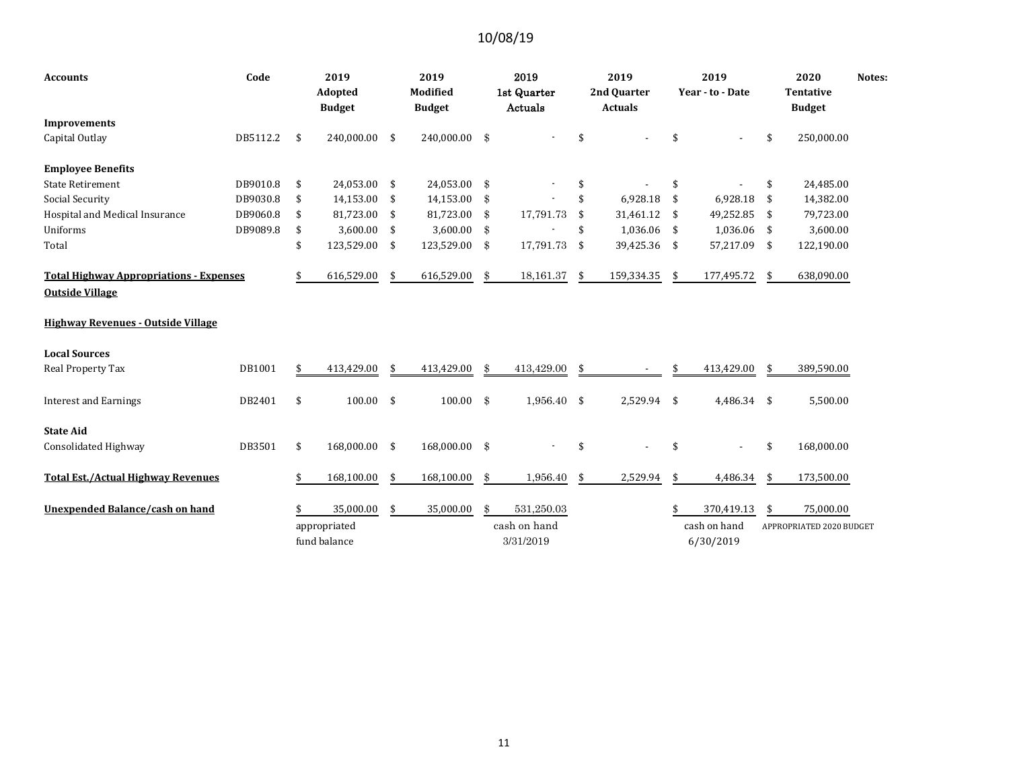| <b>Accounts</b>                                                          | Code     |     | 2019<br>Adopted<br><b>Budget</b> | 2019<br>Modified<br><b>Budget</b> |               | 2019<br>1st Quarter<br>Actuals |      | 2019<br>2nd Quarter<br><b>Actuals</b> | 2019<br>Year - to - Date |     | 2020<br><b>Tentative</b><br><b>Budget</b> | Notes: |
|--------------------------------------------------------------------------|----------|-----|----------------------------------|-----------------------------------|---------------|--------------------------------|------|---------------------------------------|--------------------------|-----|-------------------------------------------|--------|
| <b>Improvements</b>                                                      |          |     |                                  |                                   |               |                                |      |                                       |                          |     |                                           |        |
| Capital Outlay                                                           | DB5112.2 | -\$ | 240,000.00                       | \$<br>240,000.00                  | \$            |                                | \$   |                                       | \$                       | \$  | 250,000.00                                |        |
| <b>Employee Benefits</b>                                                 |          |     |                                  |                                   |               |                                |      |                                       |                          |     |                                           |        |
| <b>State Retirement</b>                                                  | DB9010.8 | \$  | 24,053.00                        | \$<br>24,053.00                   | \$            |                                | \$   |                                       | \$                       | \$  | 24,485.00                                 |        |
| Social Security                                                          | DB9030.8 | \$  | 14,153.00                        | \$<br>14,153.00                   | \$            |                                | \$   | 6,928.18                              | \$<br>6,928.18           | \$  | 14,382.00                                 |        |
| Hospital and Medical Insurance                                           | DB9060.8 | \$  | 81,723.00                        | \$<br>81,723.00                   | \$            | 17,791.73                      | \$   | 31,461.12                             | \$<br>49,252.85          | \$  | 79,723.00                                 |        |
| Uniforms                                                                 | DB9089.8 | \$  | 3,600.00                         | \$<br>3,600.00                    | \$            |                                | \$   | 1,036.06 \$                           | 1,036.06 \$              |     | 3,600.00                                  |        |
| Total                                                                    |          | \$  | 123,529.00                       | \$<br>123,529.00                  | \$            | 17,791.73                      | - \$ | 39,425.36 \$                          | 57,217.09                | -\$ | 122,190.00                                |        |
| <b>Total Highway Appropriations - Expenses</b><br><b>Outside Village</b> |          |     | 616,529.00                       | \$<br>616,529.00                  | \$            | 18,161.37                      | -\$  | 159,334.35                            | \$<br>177,495.72         | -\$ | 638,090.00                                |        |
| <b>Highway Revenues - Outside Village</b>                                |          |     |                                  |                                   |               |                                |      |                                       |                          |     |                                           |        |
| <b>Local Sources</b>                                                     |          |     |                                  |                                   |               |                                |      |                                       |                          |     |                                           |        |
| Real Property Tax                                                        | DB1001   | \$  | 413,429.00                       | \$<br>413,429.00                  | \$            | 413,429.00                     | \$   |                                       | 413,429.00               | \$  | 389,590.00                                |        |
| <b>Interest and Earnings</b>                                             | DB2401   | \$  | 100.00                           | \$<br>100.00                      | \$            | $1,956.40$ \$                  |      | 2,529.94 \$                           | 4,486.34 \$              |     | 5,500.00                                  |        |
| <b>State Aid</b>                                                         |          |     |                                  |                                   |               |                                |      |                                       |                          |     |                                           |        |
| Consolidated Highway                                                     | DB3501   | \$  | 168,000.00                       | \$<br>168,000.00                  | $\frac{3}{2}$ |                                | \$   |                                       | \$                       | \$  | 168,000.00                                |        |
| <b>Total Est./Actual Highway Revenues</b>                                |          | \$  | 168,100.00                       | \$<br>168,100.00                  | \$            | 1,956.40                       | \$   | 2,529.94                              | \$<br>4,486.34           | \$  | 173,500.00                                |        |
| <b>Unexpended Balance/cash on hand</b>                                   |          |     | 35,000.00                        | \$<br>35,000.00                   | \$            | 531,250.03                     |      |                                       | \$<br>370,419.13         | \$  | 75,000.00                                 |        |
|                                                                          |          |     | appropriated                     |                                   |               | cash on hand                   |      |                                       | cash on hand             |     | APPROPRIATED 2020 BUDGET                  |        |
|                                                                          |          |     | fund balance                     |                                   |               | 3/31/2019                      |      |                                       | 6/30/2019                |     |                                           |        |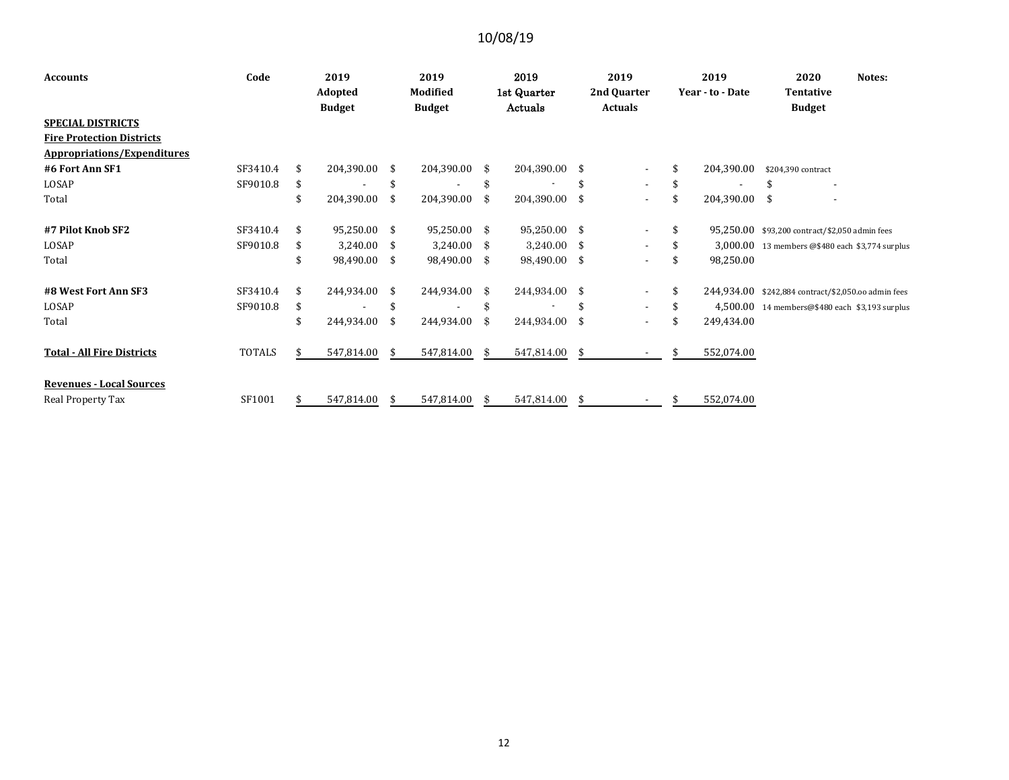| <b>Accounts</b>                    | Code          |     | 2019<br>Adopted |      | 2019<br>Modified |     | 2019<br>1st Quarter |      | 2019<br>2nd Quarter      |     | 2019<br>Year - to - Date | 2020<br>Notes:<br><b>Tentative</b>                  |
|------------------------------------|---------------|-----|-----------------|------|------------------|-----|---------------------|------|--------------------------|-----|--------------------------|-----------------------------------------------------|
|                                    |               |     | <b>Budget</b>   |      | <b>Budget</b>    |     | Actuals             |      | <b>Actuals</b>           |     |                          | <b>Budget</b>                                       |
| <b>SPECIAL DISTRICTS</b>           |               |     |                 |      |                  |     |                     |      |                          |     |                          |                                                     |
| <b>Fire Protection Districts</b>   |               |     |                 |      |                  |     |                     |      |                          |     |                          |                                                     |
| <b>Appropriations/Expenditures</b> |               |     |                 |      |                  |     |                     |      |                          |     |                          |                                                     |
| #6 Fort Ann SF1                    | SF3410.4      | \$  | 204,390.00      | -\$  | 204,390.00       | -\$ | 204,390.00 \$       |      | $\blacksquare$           | \$  | 204,390.00               | \$204,390 contract                                  |
| LOSAP                              | SF9010.8      | \$  |                 | - \$ |                  | \$  |                     |      | $\overline{\phantom{0}}$ |     |                          | $\overline{\phantom{a}}$                            |
| Total                              |               | \$  | 204,390.00      | -\$  | 204,390.00       | \$  | 204,390.00          | -\$  | $\overline{\phantom{a}}$ | \$  | 204,390.00 \$            | ٠                                                   |
| #7 Pilot Knob SF2                  | SF3410.4      | -\$ | 95,250.00       | -\$  | 95,250.00        | \$  | 95,250.00 \$        |      | $\overline{\phantom{a}}$ | \$  |                          | 95,250.00 \$93,200 contract/\$2,050 admin fees      |
| LOSAP                              | SF9010.8      | -S  | 3,240.00        | - \$ | 3,240.00         | \$  | $3,240.00$ \$       |      | ۰                        |     |                          | 3,000.00 13 members @\$480 each \$3,774 surplus     |
| Total                              |               |     | 98,490.00       | -\$  | 98,490.00        | \$  | 98,490.00           | -\$  | $\overline{\phantom{a}}$ | \$  | 98,250.00                |                                                     |
| #8 West Fort Ann SF3               | SF3410.4      | \$  | 244,934.00      | -\$  | 244,934.00       | \$  | 244,934.00          | - \$ | $\overline{\phantom{a}}$ | \$  |                          | 244,934.00 \$242,884 contract/\$2,050.00 admin fees |
| LOSAP                              | SF9010.8      | \$  |                 | \$   |                  | \$  |                     | \$   | $\overline{\phantom{a}}$ | \$. |                          | $4,500.00$ 14 members@\$480 each \$3,193 surplus    |
| Total                              |               | \$  | 244,934.00      | -\$  | 244,934.00       | \$  | 244,934.00          | \$   | $\overline{\phantom{a}}$ | \$. | 249,434.00               |                                                     |
| <b>Total - All Fire Districts</b>  | <b>TOTALS</b> | S   | 547,814.00      | \$   | 547,814.00       | -\$ | 547,814.00 \$       |      |                          | \$  | 552,074.00               |                                                     |
| <b>Revenues - Local Sources</b>    |               |     |                 |      |                  |     |                     |      |                          |     |                          |                                                     |
| Real Property Tax                  | SF1001        | \$. | 547,814.00      | -S   | 547,814.00       | \$  | 547,814.00          | -\$  |                          | \$  | 552,074.00               |                                                     |